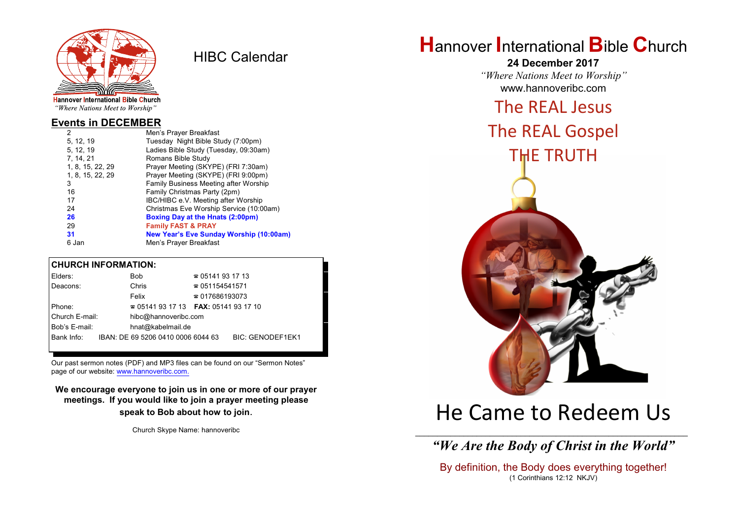

HIBC Calendar

"Where Nations Meet to Worship"

#### **Events in DECEMBER**

| 2                | Men's Prayer Breakfast                         |
|------------------|------------------------------------------------|
| 5, 12, 19        | Tuesday Night Bible Study (7:00pm)             |
| 5, 12, 19        | Ladies Bible Study (Tuesday, 09:30am)          |
| 7, 14, 21        | Romans Bible Study                             |
| 1, 8, 15, 22, 29 | Prayer Meeting (SKYPE) (FRI 7:30am)            |
| 1, 8, 15, 22, 29 | Prayer Meeting (SKYPE) (FRI 9:00pm)            |
| 3                | Family Business Meeting after Worship          |
| 16               | Family Christmas Party (2pm)                   |
| 17               | IBC/HIBC e.V. Meeting after Worship            |
| 24               | Christmas Eve Worship Service (10:00am)        |
| 26               | <b>Boxing Day at the Hnats (2:00pm)</b>        |
| 29               | <b>Family FAST &amp; PRAY</b>                  |
| 31               | <b>New Year's Eve Sunday Worship (10:00am)</b> |
| 6 Jan            | Men's Prayer Breakfast                         |
|                  |                                                |

#### **CHURCH INFORMATION:**

| Elders:        |  | <b>Bob</b>                               | $\approx 05141931713$  |                         |  |
|----------------|--|------------------------------------------|------------------------|-------------------------|--|
| Deacons:       |  | Chris                                    | $\approx 051154541571$ |                         |  |
|                |  | Felix                                    | $\approx 017686193073$ |                         |  |
| Phone:         |  | $\approx 05141931713$ FAX: 0514193 17 10 |                        |                         |  |
| Church E-mail: |  | hibc@hannoveribc.com                     |                        |                         |  |
| Bob's E-mail:  |  | hnat@kabelmail.de                        |                        |                         |  |
| Bank Info:     |  | IBAN: DE 69 5206 0410 0006 6044 63       |                        | <b>BIC: GENODEF1EK1</b> |  |
|                |  |                                          |                        |                         |  |

Our past sermon notes (PDF) and MP3 files can be found on our "Sermon Notes" page of our website: [www.hannoveribc.com.](http://www.hannoveribc.com.)

**We encourage everyone to join us in one or more of our prayer meetings. If you would like to join a prayer meeting please speak to Bob about how to join**.

Church Skype Name: hannoveribc

# **H**annover **I**nternational **B**ible **C**hurch

**24 December 2017** *"Where Nations Meet to Worship"* www.hannoveribc.com

# The REAL Jesus

The REAL Gospel

THE TRUTH



# He Came to Redeem Us

\_\_\_\_\_\_\_\_\_\_\_\_\_\_\_\_\_\_\_\_\_\_\_\_\_\_\_\_\_\_\_\_\_\_\_\_\_\_\_\_\_\_\_\_\_\_\_\_\_\_\_\_\_\_\_\_\_\_\_\_\_\_ *"We Are the Body of Christ in the World"*

By definition, the Body does everything together! (1 Corinthians 12:12 NKJV)